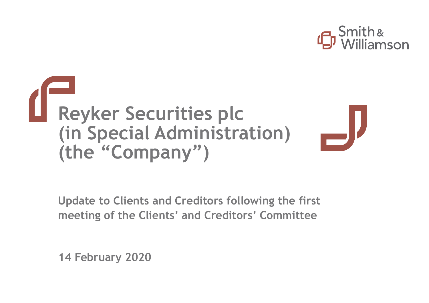



**Update to Clients and Creditors following the first meeting of the Clients' and Creditors' Committee** 

**14 February 2020**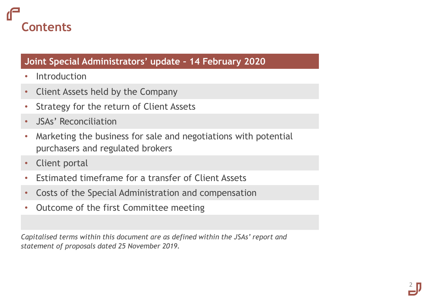## **Contents**

### **Joint Special Administrators' update – 14 February 2020**

- Introduction
- Client Assets held by the Company
- Strategy for the return of Client Assets
- JSAs' Reconciliation
- Marketing the business for sale and negotiations with potential purchasers and regulated brokers
- Client portal
- Estimated timeframe for a transfer of Client Assets
- Costs of the Special Administration and compensation
- Outcome of the first Committee meeting

*Capitalised terms within this document are as defined within the JSAs' report and statement of proposals dated 25 November 2019.*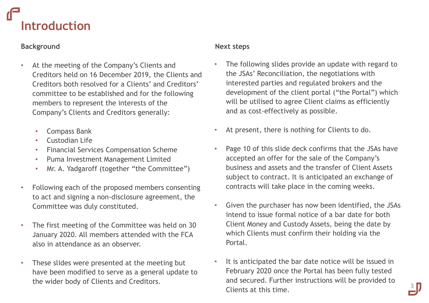## **Introduction**

### **Background**

- At the meeting of the Company's Clients and Creditors held on 16 December 2019, the Clients and Creditors both resolved for a Clients' and Creditors' committee to be established and for the following members to represent the interests of the Company's Clients and Creditors generally:
	- Compass Bank
	- Custodian Life
	- Financial Services Compensation Scheme
	- Puma Investment Management Limited
	- Mr. A. Yadgaroff (together "the Committee")
- Following each of the proposed members consenting to act and signing a non-disclosure agreement, the Committee was duly constituted.
- The first meeting of the Committee was held on 30 January 2020. All members attended with the FCA also in attendance as an observer.
- These slides were presented at the meeting but have been modified to serve as a general update to the wider body of Clients and Creditors.

### **Next steps**

- The following slides provide an update with regard to the JSAs' Reconciliation, the negotiations with interested parties and regulated brokers and the development of the client portal ("the Portal") which will be utilised to agree Client claims as efficiently and as cost-effectively as possible.
- At present, there is nothing for Clients to do.
- Page 10 of this slide deck confirms that the JSAs have accepted an offer for the sale of the Company's business and assets and the transfer of Client Assets subject to contract. It is anticipated an exchange of contracts will take place in the coming weeks.
- Given the purchaser has now been identified, the JSAs intend to issue formal notice of a bar date for both Client Money and Custody Assets, being the date by which Clients must confirm their holding via the Portal.
- It is anticipated the bar date notice will be issued in February 2020 once the Portal has been fully tested and secured. Further instructions will be provided to Clients at this time.

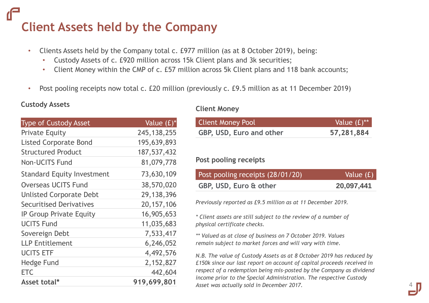## **Client Assets held by the Company**

- Clients Assets held by the Company total c. £977 million (as at 8 October 2019), being:
	- Custody Assets of c. £920 million across 15k Client plans and 3k securities;
	- Client Money within the CMP of c. £57 million across 5k Client plans and 118 bank accounts;
- Post pooling receipts now total c. £20 million (previously c. £9.5 million as at 11 December 2019)

### **Custody Assets Custody Assets**

| <b>Type of Custody Asset</b>      | Value $(f)^*$ |
|-----------------------------------|---------------|
| <b>Private Equity</b>             | 245, 138, 255 |
| <b>Listed Corporate Bond</b>      | 195,639,893   |
| <b>Structured Product</b>         | 187,537,432   |
| <b>Non-UCITS Fund</b>             | 81,079,778    |
| <b>Standard Equity Investment</b> | 73,630,109    |
| <b>Overseas UCITS Fund</b>        | 38,570,020    |
| <b>Unlisted Corporate Debt</b>    | 29,138,396    |
| <b>Securitised Derivatives</b>    | 20, 157, 106  |
| <b>IP Group Private Equity</b>    | 16,905,653    |
| <b>UCITS Fund</b>                 | 11,035,683    |
| Sovereign Debt                    | 7,533,417     |
| <b>LLP Entitlement</b>            | 6,246,052     |
| <b>UCITS ETF</b>                  | 4,492,576     |
| <b>Hedge Fund</b>                 | 2,152,827     |
| <b>ETC</b>                        | 442,604       |
| Asset total*                      | 919,699,801   |

| <b>Client Money Pool</b> | Value $(f)$ ** |
|--------------------------|----------------|
| GBP, USD, Euro and other | 57,281,884     |

### **Post pooling receipts**

| Post pooling receipts (28/01/20) | Value (£)  |
|----------------------------------|------------|
| GBP, USD, Euro & other           | 20,097,441 |

*Previously reported as £9.5 million as at 11 December 2019.* 

*\* Client assets are still subject to the review of a number of physical certificate checks.*

*\*\* Valued as at close of business on 7 October 2019. Values remain subject to market forces and will vary with time.* 

*N.B. The value of Custody Assets as at 8 October 2019 has reduced by £150k since our last report on account of capital proceeds received in respect of a redemption being mis-posted by the Company as dividend income prior to the Special Administration. The respective Custody Asset was actually sold in December 2017.*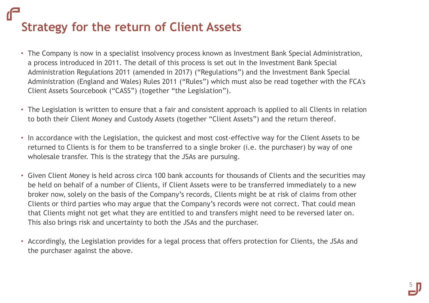## **Strategy for the return of Client Assets**

- The Company is now in a specialist insolvency process known as Investment Bank Special Administration, a process introduced in 2011. The detail of this process is set out in the Investment Bank Special Administration Regulations 2011 (amended in 2017) ("Regulations") and the Investment Bank Special Administration (England and Wales) Rules 2011 ("Rules") which must also be read together with the FCA's Client Assets Sourcebook ("CASS") (together "the Legislation").
- The Legislation is written to ensure that a fair and consistent approach is applied to all Clients in relation to both their Client Money and Custody Assets (together "Client Assets") and the return thereof.
- In accordance with the Legislation, the quickest and most cost-effective way for the Client Assets to be returned to Clients is for them to be transferred to a single broker (i.e. the purchaser) by way of one wholesale transfer. This is the strategy that the JSAs are pursuing.
- Given Client Money is held across circa 100 bank accounts for thousands of Clients and the securities may be held on behalf of a number of Clients, if Client Assets were to be transferred immediately to a new broker now, solely on the basis of the Company's records, Clients might be at risk of claims from other Clients or third parties who may argue that the Company's records were not correct. That could mean that Clients might not get what they are entitled to and transfers might need to be reversed later on. This also brings risk and uncertainty to both the JSAs and the purchaser.
- Accordingly, the Legislation provides for a legal process that offers protection for Clients, the JSAs and the purchaser against the above.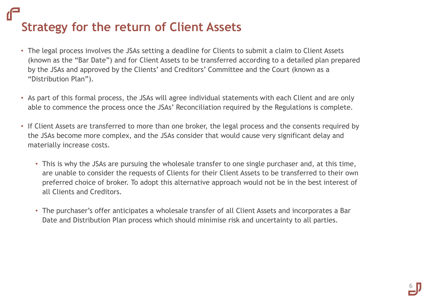## **Strategy for the return of Client Assets**

- The legal process involves the JSAs setting a deadline for Clients to submit a claim to Client Assets (known as the "Bar Date") and for Client Assets to be transferred according to a detailed plan prepared by the JSAs and approved by the Clients' and Creditors' Committee and the Court (known as a "Distribution Plan").
- As part of this formal process, the JSAs will agree individual statements with each Client and are only able to commence the process once the JSAs' Reconciliation required by the Regulations is complete.
- If Client Assets are transferred to more than one broker, the legal process and the consents required by the JSAs become more complex, and the JSAs consider that would cause very significant delay and materially increase costs.
	- This is why the JSAs are pursuing the wholesale transfer to one single purchaser and, at this time, are unable to consider the requests of Clients for their Client Assets to be transferred to their own preferred choice of broker. To adopt this alternative approach would not be in the best interest of all Clients and Creditors.
	- The purchaser's offer anticipates a wholesale transfer of all Client Assets and incorporates a Bar Date and Distribution Plan process which should minimise risk and uncertainty to all parties.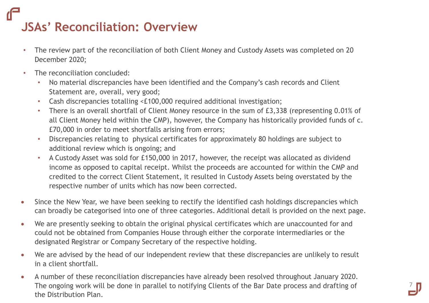## **JSAs' Reconciliation: Overview**

- The review part of the reconciliation of both Client Money and Custody Assets was completed on 20 December 2020;
- The reconciliation concluded:
	- No material discrepancies have been identified and the Company's cash records and Client Statement are, overall, very good;
	- Cash discrepancies totalling <£100,000 required additional investigation;
	- There is an overall shortfall of Client Money resource in the sum of £3,338 (representing 0.01% of all Client Money held within the CMP), however, the Company has historically provided funds of c. £70,000 in order to meet shortfalls arising from errors;
	- Discrepancies relating to physical certificates for approximately 80 holdings are subject to additional review which is ongoing; and
	- A Custody Asset was sold for £150,000 in 2017, however, the receipt was allocated as dividend income as opposed to capital receipt. Whilst the proceeds are accounted for within the CMP and credited to the correct Client Statement, it resulted in Custody Assets being overstated by the respective number of units which has now been corrected.
- Since the New Year, we have been seeking to rectify the identified cash holdings discrepancies which can broadly be categorised into one of three categories. Additional detail is provided on the next page.
- We are presently seeking to obtain the original physical certificates which are unaccounted for and could not be obtained from Companies House through either the corporate intermediaries or the designated Registrar or Company Secretary of the respective holding.
- We are advised by the head of our independent review that these discrepancies are unlikely to result in a client shortfall.
- A number of these reconciliation discrepancies have already been resolved throughout January 2020. The ongoing work will be done in parallel to notifying Clients of the Bar Date process and drafting of the Distribution Plan.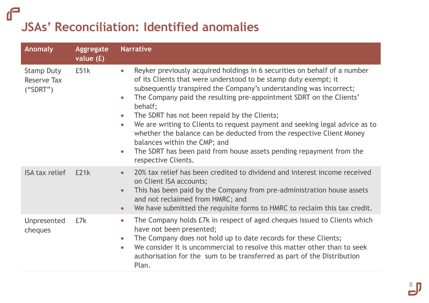### $\mathbf{f}$ **JSAs' Reconciliation: Identified anomalies**

| <b>Anomaly</b>                                      | Aggregate<br>value $(f)$ | <b>Narrative</b>                                                                                                                                                                                                                                                                                                                                                                                                                                                                                                                                                                                                                                                                                           |
|-----------------------------------------------------|--------------------------|------------------------------------------------------------------------------------------------------------------------------------------------------------------------------------------------------------------------------------------------------------------------------------------------------------------------------------------------------------------------------------------------------------------------------------------------------------------------------------------------------------------------------------------------------------------------------------------------------------------------------------------------------------------------------------------------------------|
| <b>Stamp Duty</b><br><b>Reserve Tax</b><br>("SDRT") | £51k                     | Reyker previously acquired holdings in 6 securities on behalf of a number<br>$\bullet$<br>of its Clients that were understood to be stamp duty exempt; it<br>subsequently transpired the Company's understanding was incorrect;<br>The Company paid the resulting pre-appointment SDRT on the Clients'<br>$\bullet$<br>behalf;<br>The SDRT has not been repaid by the Clients;<br>$\bullet$<br>We are writing to Clients to request payment and seeking legal advice as to<br>$\bullet$<br>whether the balance can be deducted from the respective Client Money<br>balances within the CMP; and<br>The SDRT has been paid from house assets pending repayment from the<br>$\bullet$<br>respective Clients. |
| <b>ISA tax relief</b>                               | E21k                     | 20% tax relief has been credited to dividend and interest income received<br>$\bullet$<br>on Client ISA accounts;<br>This has been paid by the Company from pre-administration house assets<br>$\bullet$<br>and not reclaimed from HMRC; and<br>We have submitted the requisite forms to HMRC to reclaim this tax credit.<br>$\bullet$                                                                                                                                                                                                                                                                                                                                                                     |
| Unpresented<br><i>cheques</i>                       | £7k                      | The Company holds E7k in respect of aged cheques issued to Clients which<br>$\bullet$<br>have not been presented;<br>The Company does not hold up to date records for these Clients;<br>$\bullet$<br>We consider it is uncommercial to resolve this matter other than to seek<br>$\bullet$<br>authorisation for the sum to be transferred as part of the Distribution<br>Plan.                                                                                                                                                                                                                                                                                                                             |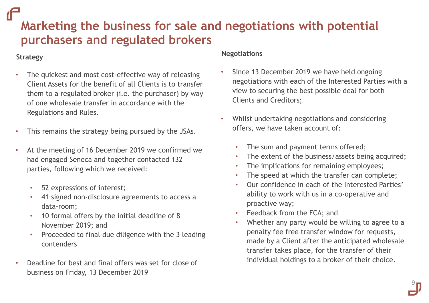### **Marketing the business for sale and negotiations with potential purchasers and regulated brokers**

### **Strategy**

- The quickest and most cost-effective way of releasing Client Assets for the benefit of all Clients is to transfer them to a regulated broker (i.e. the purchaser) by way of one wholesale transfer in accordance with the Regulations and Rules.
- This remains the strategy being pursued by the JSAs.
- At the meeting of 16 December 2019 we confirmed we had engaged Seneca and together contacted 132 parties, following which we received:
	- 52 expressions of interest;
	- 41 signed non-disclosure agreements to access a data-room;
	- 10 formal offers by the initial deadline of 8 November 2019; and
	- Proceeded to final due diligence with the 3 leading contenders
- Deadline for best and final offers was set for close of business on Friday, 13 December 2019

### **Negotiations**

- Since 13 December 2019 we have held ongoing negotiations with each of the Interested Parties with a view to securing the best possible deal for both Clients and Creditors;
- Whilst undertaking negotiations and considering offers, we have taken account of:
	- The sum and payment terms offered;
	- The extent of the business/assets being acquired;
	- The implications for remaining employees;
	- The speed at which the transfer can complete;
	- Our confidence in each of the Interested Parties' ability to work with us in a co-operative and proactive way;
	- Feedback from the FCA; and
	- Whether any party would be willing to agree to a penalty fee free transfer window for requests, made by a Client after the anticipated wholesale transfer takes place, for the transfer of their individual holdings to a broker of their choice.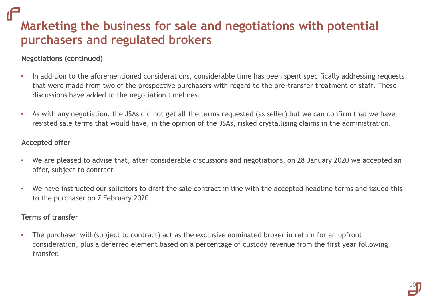**Marketing the business for sale and negotiations with potential purchasers and regulated brokers**

### **Negotiations (continued)**

- In addition to the aforementioned considerations, considerable time has been spent specifically addressing requests that were made from two of the prospective purchasers with regard to the pre-transfer treatment of staff. These discussions have added to the negotiation timelines.
- As with any negotiation, the JSAs did not get all the terms requested (as seller) but we can confirm that we have resisted sale terms that would have, in the opinion of the JSAs, risked crystallising claims in the administration.

#### **Accepted offer**

- We are pleased to advise that, after considerable discussions and negotiations, on 28 January 2020 we accepted an offer, subject to contract
- We have instructed our solicitors to draft the sale contract in line with the accepted headline terms and issued this to the purchaser on 7 February 2020

### **Terms of transfer**

• The purchaser will (subject to contract) act as the exclusive nominated broker in return for an upfront consideration, plus a deferred element based on a percentage of custody revenue from the first year following transfer.

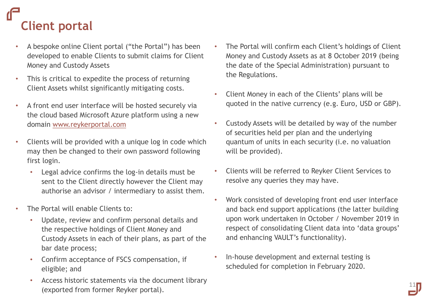# **Client portal**

- A bespoke online Client portal ("the Portal") has been developed to enable Clients to submit claims for Client Money and Custody Assets
- This is critical to expedite the process of returning Client Assets whilst significantly mitigating costs.
- A front end user interface will be hosted securely via the cloud based Microsoft Azure platform using a new domain [www.reykerportal.com](http://www.reykerportal.com/)
- Clients will be provided with a unique log in code which may then be changed to their own password following first login.
	- Legal advice confirms the log-in details must be sent to the Client directly however the Client may authorise an advisor / intermediary to assist them.
- The Portal will enable Clients to:
	- Update, review and confirm personal details and the respective holdings of Client Money and Custody Assets in each of their plans, as part of the bar date process;
	- Confirm acceptance of FSCS compensation, if eligible; and
	- Access historic statements via the document library (exported from former Reyker portal).
- The Portal will confirm each Client's holdings of Client Money and Custody Assets as at 8 October 2019 (being the date of the Special Administration) pursuant to the Regulations.
- Client Money in each of the Clients' plans will be quoted in the native currency (e.g. Euro, USD or GBP).
- Custody Assets will be detailed by way of the number of securities held per plan and the underlying quantum of units in each security (i.e. no valuation will be provided).
- Clients will be referred to Reyker Client Services to resolve any queries they may have.
- Work consisted of developing front end user interface and back end support applications (the latter building upon work undertaken in October / November 2019 in respect of consolidating Client data into 'data groups' and enhancing VAULT's functionality).

11

• In-house development and external testing is scheduled for completion in February 2020.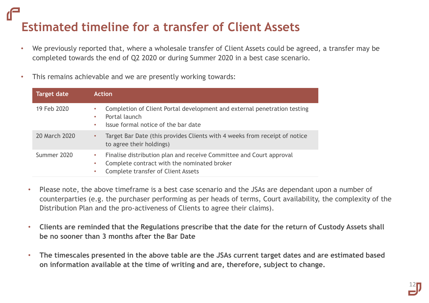## **Estimated timeline for a transfer of Client Assets**

- We previously reported that, where a wholesale transfer of Client Assets could be agreed, a transfer may be completed towards the end of Q2 2020 or during Summer 2020 in a best case scenario.
- This remains achievable and we are presently working towards:

| <b>Target date</b> | <b>Action</b>                                                                                                                                                                  |
|--------------------|--------------------------------------------------------------------------------------------------------------------------------------------------------------------------------|
| 19 Feb 2020        | Completion of Client Portal development and external penetration testing<br>۰<br>Portal launch<br>۰<br>Issue formal notice of the bar date<br>$\bullet$                        |
| 20 March 2020      | Target Bar Date (this provides Clients with 4 weeks from receipt of notice<br>$\bullet$<br>to agree their holdings)                                                            |
| Summer 2020        | Finalise distribution plan and receive Committee and Court approval<br>۰<br>Complete contract with the nominated broker<br>۰<br><b>Complete transfer of Client Assets</b><br>۰ |

- Please note, the above timeframe is a best case scenario and the JSAs are dependant upon a number of counterparties (e.g. the purchaser performing as per heads of terms, Court availability, the complexity of the Distribution Plan and the pro-activeness of Clients to agree their claims).
- **Clients are reminded that the Regulations prescribe that the date for the return of Custody Assets shall be no sooner than 3 months after the Bar Date**
- **The timescales presented in the above table are the JSAs current target dates and are estimated based on information available at the time of writing and are, therefore, subject to change.**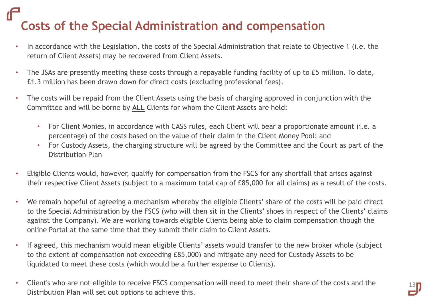## **Costs of the Special Administration and compensation**

- In accordance with the Legislation, the costs of the Special Administration that relate to Objective 1 (i.e. the return of Client Assets) may be recovered from Client Assets.
- The JSAs are presently meeting these costs through a repayable funding facility of up to £5 million. To date, £1.3 million has been drawn down for direct costs (excluding professional fees).
- The costs will be repaid from the Client Assets using the basis of charging approved in conjunction with the Committee and will be borne by **ALL** Clients for whom the Client Assets are held:
	- For Client Monies, in accordance with CASS rules, each Client will bear a proportionate amount (i.e. a percentage) of the costs based on the value of their claim in the Client Money Pool; and
	- For Custody Assets, the charging structure will be agreed by the Committee and the Court as part of the Distribution Plan
- Eligible Clients would, however, qualify for compensation from the FSCS for any shortfall that arises against their respective Client Assets (subject to a maximum total cap of £85,000 for all claims) as a result of the costs.
- We remain hopeful of agreeing a mechanism whereby the eligible Clients' share of the costs will be paid direct to the Special Administration by the FSCS (who will then sit in the Clients' shoes in respect of the Clients' claims against the Company). We are working towards eligible Clients being able to claim compensation though the online Portal at the same time that they submit their claim to Client Assets.
- If agreed, this mechanism would mean eligible Clients' assets would transfer to the new broker whole (subject to the extent of compensation not exceeding £85,000) and mitigate any need for Custody Assets to be liquidated to meet these costs (which would be a further expense to Clients).
- Client's who are not eligible to receive FSCS compensation will need to meet their share of the costs and the Distribution Plan will set out options to achieve this.

13